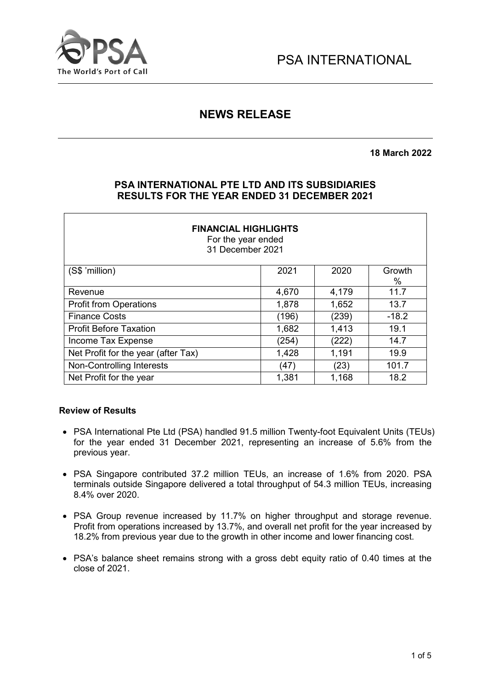

# **NEWS RELEASE**

**18 March 2022**

# **PSA INTERNATIONAL PTE LTD AND ITS SUBSIDIARIES RESULTS FOR THE YEAR ENDED 31 DECEMBER 2021**

| <b>FINANCIAL HIGHLIGHTS</b><br>For the year ended<br>31 December 2021 |       |       |                |  |  |
|-----------------------------------------------------------------------|-------|-------|----------------|--|--|
| (S\$ 'million)                                                        | 2021  | 2020  | Growth<br>$\%$ |  |  |
| Revenue                                                               | 4,670 | 4,179 | 11.7           |  |  |
| <b>Profit from Operations</b>                                         | 1,878 | 1,652 | 13.7           |  |  |
| <b>Finance Costs</b>                                                  | (196) | (239) | $-18.2$        |  |  |
| <b>Profit Before Taxation</b>                                         | 1,682 | 1,413 | 19.1           |  |  |
| Income Tax Expense                                                    | (254) | (222) | 14.7           |  |  |
| Net Profit for the year (after Tax)                                   | 1,428 | 1,191 | 19.9           |  |  |
| Non-Controlling Interests                                             | (47)  | (23)  | 101.7          |  |  |
| Net Profit for the year                                               | 1,381 | 1,168 | 18.2           |  |  |

#### **Review of Results**

- PSA International Pte Ltd (PSA) handled 91.5 million Twenty-foot Equivalent Units (TEUs) for the year ended 31 December 2021, representing an increase of 5.6% from the previous year.
- PSA Singapore contributed 37.2 million TEUs, an increase of 1.6% from 2020. PSA terminals outside Singapore delivered a total throughput of 54.3 million TEUs, increasing 8.4% over 2020.
- PSA Group revenue increased by 11.7% on higher throughput and storage revenue. Profit from operations increased by 13.7%, and overall net profit for the year increased by 18.2% from previous year due to the growth in other income and lower financing cost.
- PSA's balance sheet remains strong with a gross debt equity ratio of 0.40 times at the close of 2021.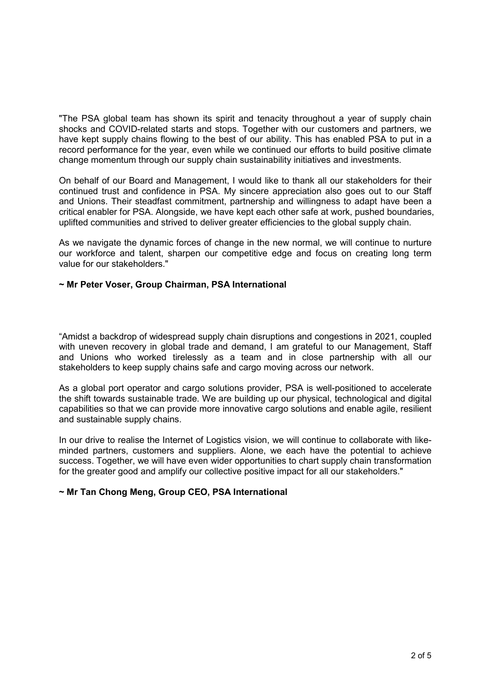"The PSA global team has shown its spirit and tenacity throughout a year of supply chain shocks and COVID-related starts and stops. Together with our customers and partners, we have kept supply chains flowing to the best of our ability. This has enabled PSA to put in a record performance for the year, even while we continued our efforts to build positive climate change momentum through our supply chain sustainability initiatives and investments.

On behalf of our Board and Management, I would like to thank all our stakeholders for their continued trust and confidence in PSA. My sincere appreciation also goes out to our Staff and Unions. Their steadfast commitment, partnership and willingness to adapt have been a critical enabler for PSA. Alongside, we have kept each other safe at work, pushed boundaries, uplifted communities and strived to deliver greater efficiencies to the global supply chain.

As we navigate the dynamic forces of change in the new normal, we will continue to nurture our workforce and talent, sharpen our competitive edge and focus on creating long term value for our stakeholders."

#### **~ Mr Peter Voser, Group Chairman, PSA International**

"Amidst a backdrop of widespread supply chain disruptions and congestions in 2021, coupled with uneven recovery in global trade and demand, I am grateful to our Management, Staff and Unions who worked tirelessly as a team and in close partnership with all our stakeholders to keep supply chains safe and cargo moving across our network.

As a global port operator and cargo solutions provider, PSA is well-positioned to accelerate the shift towards sustainable trade. We are building up our physical, technological and digital capabilities so that we can provide more innovative cargo solutions and enable agile, resilient and sustainable supply chains.

In our drive to realise the Internet of Logistics vision, we will continue to collaborate with likeminded partners, customers and suppliers. Alone, we each have the potential to achieve success. Together, we will have even wider opportunities to chart supply chain transformation for the greater good and amplify our collective positive impact for all our stakeholders."

#### **~ Mr Tan Chong Meng, Group CEO, PSA International**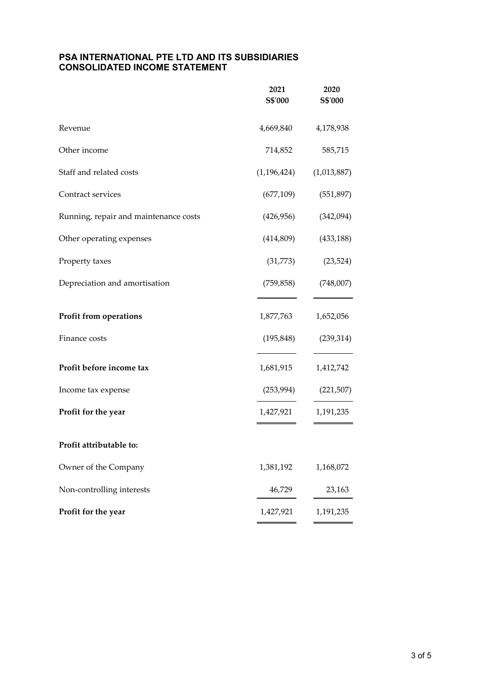#### **PSA INTERNATIONAL PTE LTD AND ITS SUBSIDIARIES CONSOLIDATED INCOME STATEMENT**

|                                       | 2021<br>S\$'000          | 2020<br>S\$'000 |
|---------------------------------------|--------------------------|-----------------|
| Revenue                               | 4,669,840                | 4,178,938       |
| Other income                          | 714,852                  | 585,715         |
| Staff and related costs               | (1, 196, 424)            | (1,013,887)     |
| Contract services                     | (677,109)                | (551, 897)      |
| Running, repair and maintenance costs | (426, 956)               | (342,094)       |
| Other operating expenses              | (414,809)                | (433, 188)      |
| Property taxes                        | (31,773)                 | (23, 524)       |
| Depreciation and amortisation         | (759, 858)               | (748,007)       |
| Profit from operations                | 1,877,763                | 1,652,056       |
| Finance costs                         | (195, 848)               | (239, 314)      |
| Profit before income tax              | 1,681,915                | 1,412,742       |
| Income tax expense                    | (253, 994)<br>(221, 507) |                 |
| Profit for the year                   | 1,427,921                | 1,191,235       |
| Profit attributable to:               |                          |                 |
| Owner of the Company                  | 1,381,192                | 1,168,072       |
| Non-controlling interests             | 46,729                   | 23,163          |
| Profit for the year                   | 1,427,921                | 1,191,235       |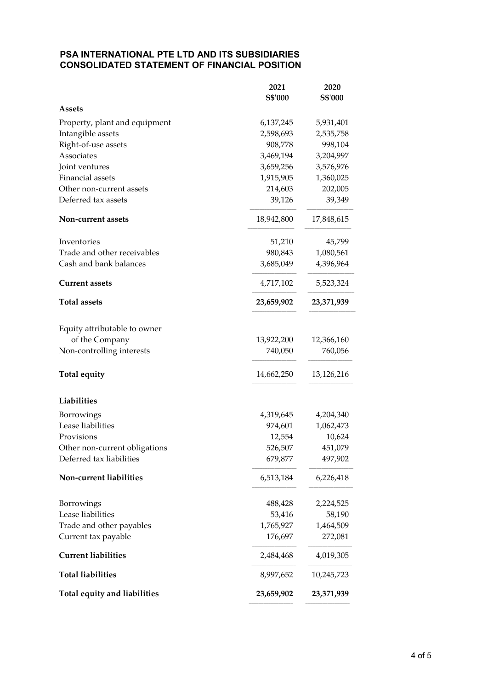## **PSA INTERNATIONAL PTE LTD AND ITS SUBSIDIARIES CONSOLIDATED STATEMENT OF FINANCIAL POSITION**

|                                 | 2021              | 2020                |
|---------------------------------|-------------------|---------------------|
|                                 | S\$'000           | S\$'000             |
| <b>Assets</b>                   |                   |                     |
| Property, plant and equipment   | 6,137,245         | 5,931,401           |
| Intangible assets               | 2,598,693         | 2,535,758           |
| Right-of-use assets             | 908,778           | 998,104             |
| Associates                      | 3,469,194         | 3,204,997           |
| Joint ventures                  | 3,659,256         | 3,576,976           |
| Financial assets                | 1,915,905         | 1,360,025           |
| Other non-current assets        | 214,603           | 202,005             |
| Deferred tax assets             | 39,126            | 39,349              |
| Non-current assets              | 18,942,800        | 17,848,615          |
| Inventories                     | 51,210            | 45,799              |
| Trade and other receivables     | 980,843           | 1,080,561           |
| Cash and bank balances          | 3,685,049         | 4,396,964           |
| <b>Current assets</b>           | 4,717,102         | 5,523,324           |
| <b>Total assets</b>             | 23,659,902        | 23,371,939          |
|                                 |                   |                     |
| Equity attributable to owner    |                   |                     |
| of the Company                  | 13,922,200        | 12,366,160          |
| Non-controlling interests       | 740,050           | 760,056             |
| Total equity                    | 14,662,250        | 13,126,216          |
| Liabilities                     |                   |                     |
| Borrowings                      | 4,319,645         | 4,204,340           |
| Lease liabilities               | 974,601           | 1,062,473           |
| Provisions                      | 12,554            | 10,624              |
| Other non-current obligations   | 526,507           | 451,079             |
| Deferred tax liabilities        | 679,877           | 497,902             |
| Non-current liabilities         | 6,513,184         | 6,226,418           |
|                                 |                   |                     |
| Borrowings<br>Lease liabilities | 488,428<br>53,416 | 2,224,525<br>58,190 |
|                                 |                   |                     |
| Trade and other payables        | 1,765,927         | 1,464,509           |
| Current tax payable             | 176,697           | 272,081             |
| <b>Current liabilities</b>      | 2,484,468         | 4,019,305           |
| <b>Total liabilities</b>        | 8,997,652         | 10,245,723          |
| Total equity and liabilities    | 23,659,902        | 23,371,939          |
|                                 |                   |                     |